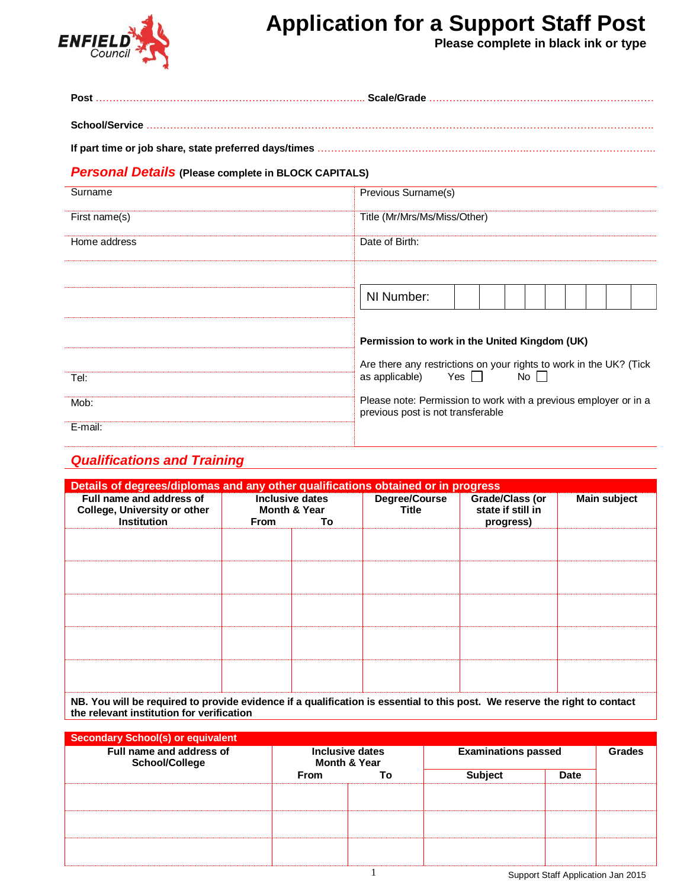

# **Application for a Support Staff Post**

**Please complete in black ink or type**

| <b>Personal Details (Please complete in BLOCK CAPITALS)</b> |                                                                                                                       |  |  |
|-------------------------------------------------------------|-----------------------------------------------------------------------------------------------------------------------|--|--|
| Surname                                                     | Previous Surname(s)                                                                                                   |  |  |
| First name(s)                                               | Title (Mr/Mrs/Ms/Miss/Other)                                                                                          |  |  |
| Home address                                                | Date of Birth:                                                                                                        |  |  |
|                                                             |                                                                                                                       |  |  |
|                                                             | NI Number:                                                                                                            |  |  |
|                                                             |                                                                                                                       |  |  |
|                                                             | Permission to work in the United Kingdom (UK)                                                                         |  |  |
| Tel:                                                        | Are there any restrictions on your rights to work in the UK? (Tick<br>Yes    <br>as applicable)<br>$No$ $\vert \vert$ |  |  |
| Mob:                                                        | Please note: Permission to work with a previous employer or in a                                                      |  |  |
|                                                             | previous post is not transferable                                                                                     |  |  |
| E-mail:                                                     |                                                                                                                       |  |  |

# *Qualifications and Training*

| Details of degrees/diplomas and any other qualifications obtained or in progress                                           |                                |                    |                        |                                                   |              |
|----------------------------------------------------------------------------------------------------------------------------|--------------------------------|--------------------|------------------------|---------------------------------------------------|--------------|
| Full name and address of<br><b>College, University or other</b><br><b>Institution</b>                                      | Inclusive dates<br><b>From</b> | Month & Year<br>Τo | Degree/Course<br>Title | Grade/Class (or<br>state if still in<br>progress) | Main subject |
|                                                                                                                            |                                |                    |                        |                                                   |              |
|                                                                                                                            |                                |                    |                        |                                                   |              |
|                                                                                                                            |                                |                    |                        |                                                   |              |
|                                                                                                                            |                                |                    |                        |                                                   |              |
|                                                                                                                            |                                |                    |                        |                                                   |              |
| NB. You will be required to provide evidence if a qualification is essential to this post. We reserve the right to contact |                                |                    |                        |                                                   |              |

**the relevant institution for verification**

| Full name and address of<br><b>School/College</b> | Inclusive dates<br><b>Month &amp; Year</b> |    | <b>Examinations passed</b> |      | Grades |  |
|---------------------------------------------------|--------------------------------------------|----|----------------------------|------|--------|--|
|                                                   | <b>From</b>                                | То | <b>Subject</b>             | Date |        |  |
|                                                   |                                            |    |                            |      |        |  |
|                                                   |                                            |    |                            |      |        |  |
|                                                   |                                            |    |                            |      |        |  |
|                                                   |                                            |    |                            |      |        |  |
|                                                   |                                            |    |                            |      |        |  |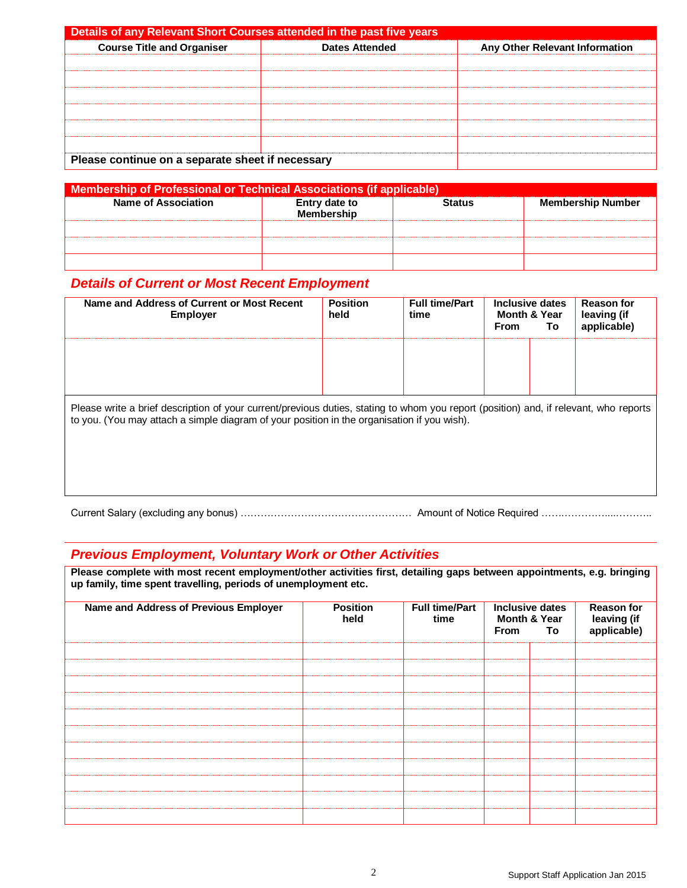| Details of any Relevant Short Courses attended in the past five years |                |                                |  |  |
|-----------------------------------------------------------------------|----------------|--------------------------------|--|--|
| <b>Course Title and Organiser</b>                                     | Dates Attended | Any Other Relevant Information |  |  |
|                                                                       |                |                                |  |  |
|                                                                       |                |                                |  |  |
|                                                                       |                |                                |  |  |
|                                                                       |                |                                |  |  |
|                                                                       |                |                                |  |  |
|                                                                       |                |                                |  |  |
| Please continue on a separate sheet if necessary                      |                |                                |  |  |

| <b>Membership of Professional or Technical Associations (if applicable)</b> |                                    |               |                          |  |  |
|-----------------------------------------------------------------------------|------------------------------------|---------------|--------------------------|--|--|
| Name of Association                                                         | Entry date to<br><b>Membership</b> | <b>Status</b> | <b>Membership Number</b> |  |  |
|                                                                             |                                    |               |                          |  |  |
|                                                                             |                                    |               |                          |  |  |
|                                                                             |                                    |               |                          |  |  |

### *Details of Current or Most Recent Employment*

| Name and Address of Current or Most Recent<br><b>Employer</b>                                                                                                                                                                        | <b>Position</b><br>held | <b>Full time/Part</b><br>time | <b>From</b> | Inclusive dates<br><b>Month &amp; Year</b><br>Τo | <b>Reason for</b><br>leaving (if<br>applicable) |
|--------------------------------------------------------------------------------------------------------------------------------------------------------------------------------------------------------------------------------------|-------------------------|-------------------------------|-------------|--------------------------------------------------|-------------------------------------------------|
|                                                                                                                                                                                                                                      |                         |                               |             |                                                  |                                                 |
| Please write a brief description of your current/previous duties, stating to whom you report (position) and, if relevant, who reports<br>to you. (You may attach a simple diagram of your position in the organisation if you wish). |                         |                               |             |                                                  |                                                 |

Current Salary (excluding any bonus) …………………………………………… Amount of Notice Required …….…………....………..

### *Previous Employment, Voluntary Work or Other Activities*

**Please complete with most recent employment/other activities first, detailing gaps between appointments, e.g. bringing up family, time spent travelling, periods of unemployment etc.**

| <b>Name and Address of Previous Employer</b> | <b>Position</b><br>held | <b>Full time/Part</b><br>time | From | <b>Inclusive dates</b><br>Month & Year<br>To | <b>Reason for</b><br>leaving (if<br>applicable) |
|----------------------------------------------|-------------------------|-------------------------------|------|----------------------------------------------|-------------------------------------------------|
|                                              |                         |                               |      |                                              |                                                 |
|                                              |                         |                               |      |                                              |                                                 |
|                                              |                         |                               |      |                                              |                                                 |
|                                              |                         |                               |      |                                              |                                                 |
|                                              |                         |                               |      |                                              |                                                 |
|                                              |                         |                               |      |                                              |                                                 |
|                                              |                         |                               |      |                                              |                                                 |
|                                              |                         |                               |      |                                              |                                                 |
|                                              |                         |                               |      |                                              |                                                 |
|                                              |                         |                               |      |                                              |                                                 |
|                                              |                         |                               |      |                                              |                                                 |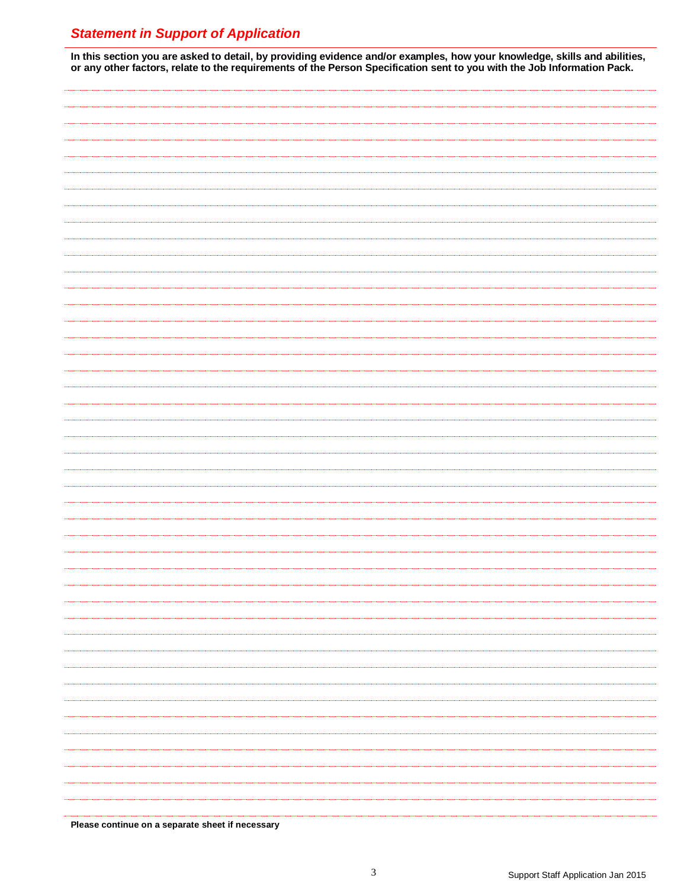# *Statement in Support of Application*

**In this section you are asked to detail, by providing evidence and/or examples, how your knowledge, skills and abilities, or any other factors, relate to the requirements of the Person Specification sent to you with the Job Information Pack.**

**Please continue on a separate sheet if necessary**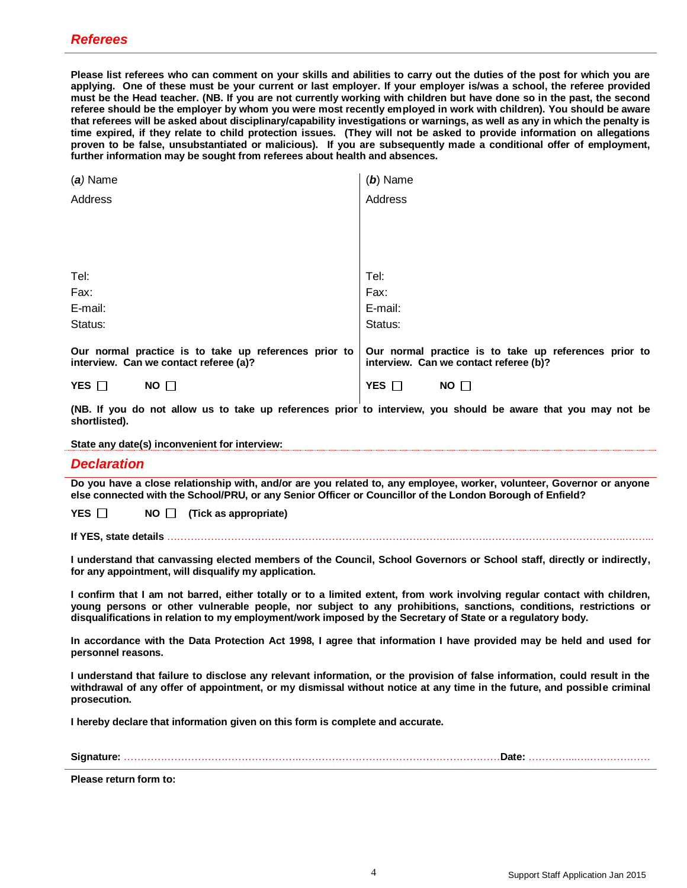**Please list referees who can comment on your skills and abilities to carry out the duties of the post for which you are applying. One of these must be your current or last employer. If your employer is/was a school, the referee provided must be the Head teacher. (NB. If you are not currently working with children but have done so in the past, the second referee should be the employer by whom you were most recently employed in work with children). You should be aware that referees will be asked about disciplinary/capability investigations or warnings, as well as any in which the penalty is time expired, if they relate to child protection issues. (They will not be asked to provide information on allegations proven to be false, unsubstantiated or malicious). If you are subsequently made a conditional offer of employment, further information may be sought from referees about health and absences.**

| $(a)$ Name                                                                                      | $(b)$ Name                                                                                      |
|-------------------------------------------------------------------------------------------------|-------------------------------------------------------------------------------------------------|
| Address                                                                                         | Address                                                                                         |
|                                                                                                 |                                                                                                 |
|                                                                                                 |                                                                                                 |
|                                                                                                 |                                                                                                 |
| Tel:                                                                                            | Tel:                                                                                            |
| Fax:                                                                                            | Fax:                                                                                            |
| E-mail:                                                                                         | E-mail:                                                                                         |
| Status:                                                                                         | Status:                                                                                         |
| Our normal practice is to take up references prior to<br>interview. Can we contact referee (a)? | Our normal practice is to take up references prior to<br>interview. Can we contact referee (b)? |
| YES $\Box$<br>NO $\Box$                                                                         | YES $\Box$<br>$NO$ $\Box$                                                                       |

**(NB. If you do not allow us to take up references prior to interview, you should be aware that you may not be shortlisted).** 

**State any date(s) inconvenient for interview:** 

#### *Declaration*

**Do you have a close relationship with, and/or are you related to, any employee, worker, volunteer, Governor or anyone else connected with the School/PRU, or any Senior Officer or Councillor of the London Borough of Enfield?**

 $YES \t{~}$  **NO**  $~$  (Tick as appropriate)

**If YES, state details** …………………………………………………………………………..……….…………………………………..……...

**I understand that canvassing elected members of the Council, School Governors or School staff, directly or indirectly, for any appointment, will disqualify my application.**

**I confirm that I am not barred, either totally or to a limited extent, from work involving regular contact with children, young persons or other vulnerable people, nor subject to any prohibitions, sanctions, conditions, restrictions or disqualifications in relation to my employment/work imposed by the Secretary of State or a regulatory body.**

**In accordance with the Data Protection Act 1998, I agree that information I have provided may be held and used for personnel reasons.**

**I understand that failure to disclose any relevant information, or the provision of false information, could result in the withdrawal of any offer of appointment, or my dismissal without notice at any time in the future, and possible criminal prosecution.**

**I hereby declare that information given on this form is complete and accurate.**

**Signature:** …………………………………………….……………………………………………………**Date:** …………...….………………

**Please return form to:**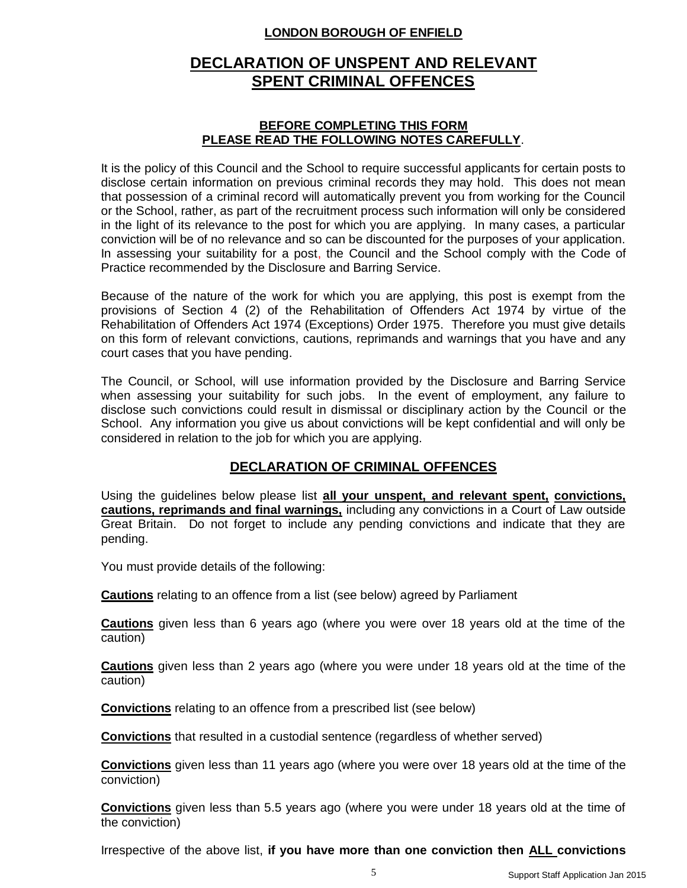### **LONDON BOROUGH OF ENFIELD**

# **DECLARATION OF UNSPENT AND RELEVANT SPENT CRIMINAL OFFENCES**

### **BEFORE COMPLETING THIS FORM PLEASE READ THE FOLLOWING NOTES CAREFULLY**.

It is the policy of this Council and the School to require successful applicants for certain posts to disclose certain information on previous criminal records they may hold. This does not mean that possession of a criminal record will automatically prevent you from working for the Council or the School, rather, as part of the recruitment process such information will only be considered in the light of its relevance to the post for which you are applying. In many cases, a particular conviction will be of no relevance and so can be discounted for the purposes of your application. In assessing your suitability for a post, the Council and the School comply with the Code of Practice recommended by the Disclosure and Barring Service.

Because of the nature of the work for which you are applying, this post is exempt from the provisions of Section 4 (2) of the Rehabilitation of Offenders Act 1974 by virtue of the Rehabilitation of Offenders Act 1974 (Exceptions) Order 1975. Therefore you must give details on this form of relevant convictions, cautions, reprimands and warnings that you have and any court cases that you have pending.

The Council, or School, will use information provided by the Disclosure and Barring Service when assessing your suitability for such jobs. In the event of employment, any failure to disclose such convictions could result in dismissal or disciplinary action by the Council or the School. Any information you give us about convictions will be kept confidential and will only be considered in relation to the job for which you are applying.

## **DECLARATION OF CRIMINAL OFFENCES**

Using the guidelines below please list **all your unspent, and relevant spent, convictions, cautions, reprimands and final warnings,** including any convictions in a Court of Law outside Great Britain. Do not forget to include any pending convictions and indicate that they are pending.

You must provide details of the following:

**Cautions** relating to an offence from a list (see below) agreed by Parliament

**Cautions** given less than 6 years ago (where you were over 18 years old at the time of the caution)

**Cautions** given less than 2 years ago (where you were under 18 years old at the time of the caution)

**Convictions** relating to an offence from a prescribed list (see below)

**Convictions** that resulted in a custodial sentence (regardless of whether served)

**Convictions** given less than 11 years ago (where you were over 18 years old at the time of the conviction)

**Convictions** given less than 5.5 years ago (where you were under 18 years old at the time of the conviction)

Irrespective of the above list, **if you have more than one conviction then ALL convictions**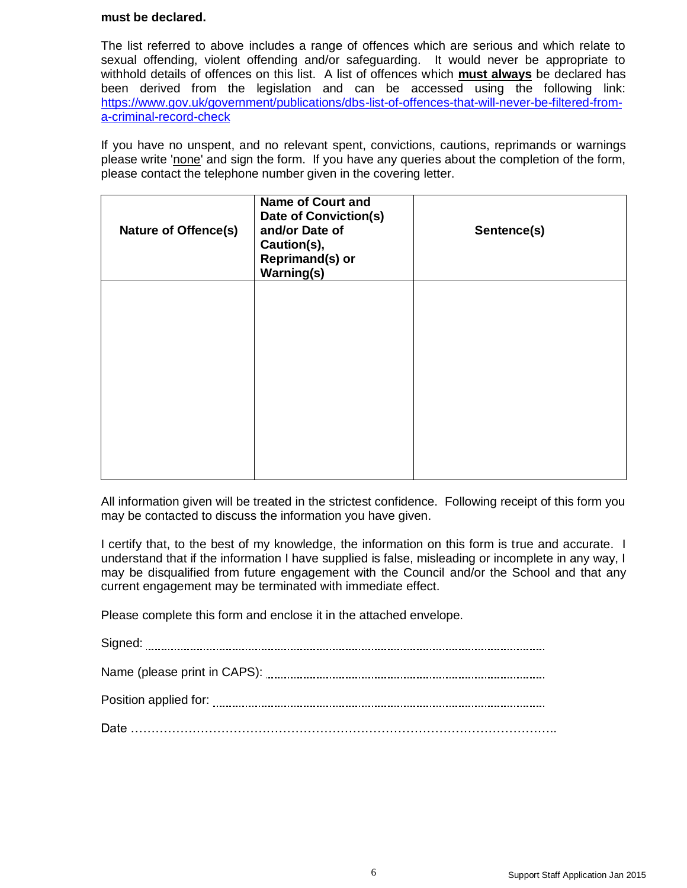#### **must be declared.**

The list referred to above includes a range of offences which are serious and which relate to sexual offending, violent offending and/or safeguarding. It would never be appropriate to withhold details of offences on this list. A list of offences which **must always** be declared has been derived from the legislation and can be accessed using the following link: [https://www.gov.uk/government/publications/dbs-list-of-offences-that-will-never-be-filtered-from](https://www.gov.uk/government/publications/dbs-list-of-offences-that-will-never-be-filtered-from-a-criminal-record-check)[a-criminal-record-check](https://www.gov.uk/government/publications/dbs-list-of-offences-that-will-never-be-filtered-from-a-criminal-record-check)

If you have no unspent, and no relevant spent, convictions, cautions, reprimands or warnings please write 'none' and sign the form. If you have any queries about the completion of the form, please contact the telephone number given in the covering letter.

| <b>Nature of Offence(s)</b> | <b>Name of Court and</b><br><b>Date of Conviction(s)</b><br>and/or Date of<br>Caution(s),<br><b>Reprimand(s) or</b><br><b>Warning(s)</b> | Sentence(s) |
|-----------------------------|------------------------------------------------------------------------------------------------------------------------------------------|-------------|
|                             |                                                                                                                                          |             |
|                             |                                                                                                                                          |             |
|                             |                                                                                                                                          |             |

All information given will be treated in the strictest confidence. Following receipt of this form you may be contacted to discuss the information you have given.

I certify that, to the best of my knowledge, the information on this form is true and accurate. I understand that if the information I have supplied is false, misleading or incomplete in any way, I may be disqualified from future engagement with the Council and/or the School and that any current engagement may be terminated with immediate effect.

Please complete this form and enclose it in the attached envelope.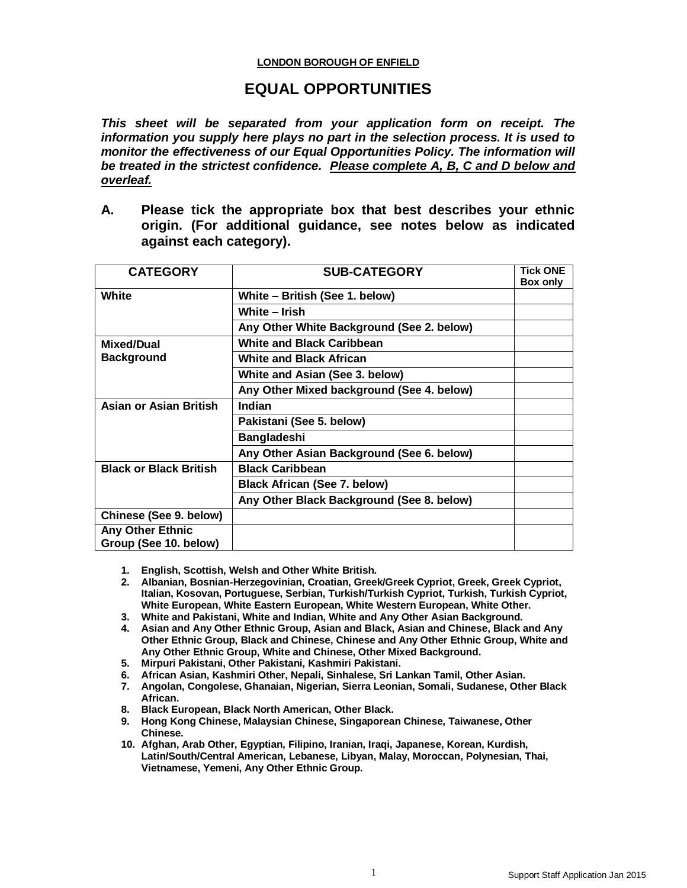#### **LONDON BOROUGH OF ENFIELD**

### **EQUAL OPPORTUNITIES**

*This sheet will be separated from your application form on receipt. The information you supply here plays no part in the selection process. It is used to monitor the effectiveness of our Equal Opportunities Policy. The information will be treated in the strictest confidence. Please complete A, B, C and D below and overleaf.*

**A. Please tick the appropriate box that best describes your ethnic origin. (For additional guidance, see notes below as indicated against each category).**

| <b>CATEGORY</b>               | <b>SUB-CATEGORY</b>                       | <b>Tick ONE</b> |
|-------------------------------|-------------------------------------------|-----------------|
|                               |                                           | Box only        |
| White                         | White - British (See 1. below)            |                 |
|                               | White - Irish                             |                 |
|                               | Any Other White Background (See 2. below) |                 |
| Mixed/Dual                    | <b>White and Black Caribbean</b>          |                 |
| <b>Background</b>             | <b>White and Black African</b>            |                 |
|                               | White and Asian (See 3. below)            |                 |
|                               | Any Other Mixed background (See 4. below) |                 |
| Asian or Asian British        | Indian                                    |                 |
|                               | Pakistani (See 5. below)                  |                 |
|                               | <b>Bangladeshi</b>                        |                 |
|                               | Any Other Asian Background (See 6. below) |                 |
| <b>Black or Black British</b> | <b>Black Caribbean</b>                    |                 |
|                               | <b>Black African (See 7. below)</b>       |                 |
|                               | Any Other Black Background (See 8. below) |                 |
| Chinese (See 9. below)        |                                           |                 |
| <b>Any Other Ethnic</b>       |                                           |                 |
| Group (See 10. below)         |                                           |                 |

- **1. English, Scottish, Welsh and Other White British.**
- **2. Albanian, Bosnian-Herzegovinian, Croatian, Greek/Greek Cypriot, Greek, Greek Cypriot, Italian, Kosovan, Portuguese, Serbian, Turkish/Turkish Cypriot, Turkish, Turkish Cypriot, White European, White Eastern European, White Western European, White Other.**
- **3. White and Pakistani, White and Indian, White and Any Other Asian Background.**
- **4. Asian and Any Other Ethnic Group, Asian and Black, Asian and Chinese, Black and Any Other Ethnic Group, Black and Chinese, Chinese and Any Other Ethnic Group, White and Any Other Ethnic Group, White and Chinese, Other Mixed Background.**
- **5. Mirpuri Pakistani, Other Pakistani, Kashmiri Pakistani.**
- **6. African Asian, Kashmiri Other, Nepali, Sinhalese, Sri Lankan Tamil, Other Asian.**
- **7. Angolan, Congolese, Ghanaian, Nigerian, Sierra Leonian, Somali, Sudanese, Other Black African.**
- **8. Black European, Black North American, Other Black.**
- **9. Hong Kong Chinese, Malaysian Chinese, Singaporean Chinese, Taiwanese, Other Chinese.**
- **10. Afghan, Arab Other, Egyptian, Filipino, Iranian, Iraqi, Japanese, Korean, Kurdish, Latin/South/Central American, Lebanese, Libyan, Malay, Moroccan, Polynesian, Thai, Vietnamese, Yemeni, Any Other Ethnic Group.**